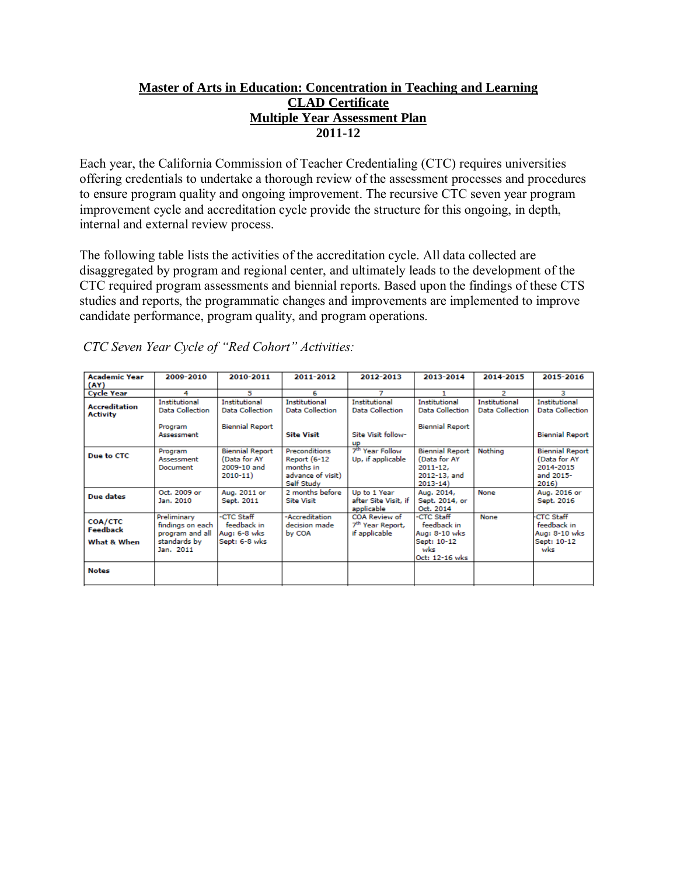# **Master of Arts in Education: Concentration in Teaching and Learning CLAD Certificate Multiple Year Assessment Plan 2011-12**

Each year, the California Commission of Teacher Credentialing (CTC) requires universities offering credentials to undertake a thorough review of the assessment processes and procedures to ensure program quality and ongoing improvement. The recursive CTC seven year program improvement cycle and accreditation cycle provide the structure for this ongoing, in depth, internal and external review process.

The following table lists the activities of the accreditation cycle. All data collected are disaggregated by program and regional center, and ultimately leads to the development of the CTC required program assessments and biennial reports. Based upon the findings of these CTS studies and reports, the programmatic changes and improvements are implemented to improve candidate performance, program quality, and program operations.

| <b>Academic Year</b><br>(AY)                     | 2009-2010                                                                       | 2010-2011                                                            | 2011-2012                                                                     | 2012-2013                                                      | 2013-2014                                                                             | 2014-2015                                      | 2015-2016                                                                 |
|--------------------------------------------------|---------------------------------------------------------------------------------|----------------------------------------------------------------------|-------------------------------------------------------------------------------|----------------------------------------------------------------|---------------------------------------------------------------------------------------|------------------------------------------------|---------------------------------------------------------------------------|
| <b>Cycle Year</b>                                | 4                                                                               | 5                                                                    | 6                                                                             | 7                                                              |                                                                                       | $\overline{2}$                                 | з                                                                         |
| <b>Accreditation</b><br><b>Activity</b>          | <b>Institutional</b><br>Data Collection                                         | <b>Institutional</b><br>Data Collection                              | <b>Institutional</b><br>Data Collection                                       | <b>Institutional</b><br>Data Collection                        | <b>Institutional</b><br><b>Data Collection</b>                                        | <b>Institutional</b><br><b>Data Collection</b> | Institutional<br><b>Data Collection</b>                                   |
|                                                  | Program<br>Assessment                                                           | <b>Biennial Report</b>                                               | <b>Site Visit</b>                                                             | Site Visit follow-<br>up                                       | <b>Biennial Report</b>                                                                |                                                | <b>Biennial Report</b>                                                    |
| Due to CTC                                       | Program<br>Assessment<br>Document                                               | <b>Biennial Report</b><br>(Data for AY<br>2009-10 and<br>$2010 - 11$ | Preconditions<br>Report (6-12<br>months in<br>advance of visit)<br>Self Study | 7 <sup>th</sup> Year Follow<br>Up, if applicable               | <b>Biennial Report</b><br>(Data for AY<br>$2011 - 12.$<br>2012-13, and<br>$2013 - 14$ | Nothing                                        | <b>Biennial Report</b><br>(Data for AY<br>2014-2015<br>and 2015-<br>2016) |
| <b>Due dates</b>                                 | Oct. 2009 or<br>Jan. 2010                                                       | Aug. 2011 or<br>Sept. 2011                                           | 2 months before<br><b>Site Visit</b>                                          | Up to 1 Year<br>after Site Visit, if<br>applicable             | Aug. 2014,<br>Sept. 2014, or<br>Oct. 2014                                             | None                                           | Aug. 2016 or<br>Sept. 2016                                                |
| <b>COA/CTC</b><br><b>Feedback</b><br>What & When | Preliminary<br>findings on each<br>program and all<br>standards by<br>Jan. 2011 | -CTC Staff<br>feedback in<br>Aug: 6-8 wks<br>Sept: 6-8 wks           | -Accreditation<br>decision made<br>by COA                                     | COA Review of<br>7 <sup>th</sup> Year Report,<br>if applicable | -CTC Staff<br>feedback in<br>Aug: 8-10 wks<br>Sept: 10-12<br>wks<br>Oct: 12-16 wks    | None                                           | <b>CTC Staff</b><br>feedback in<br>Aug: 8-10 wks<br>Sept: 10-12<br>wks    |
| <b>Notes</b>                                     |                                                                                 |                                                                      |                                                                               |                                                                |                                                                                       |                                                |                                                                           |

*CTC Seven Year Cycle of "Red Cohort" Activities:*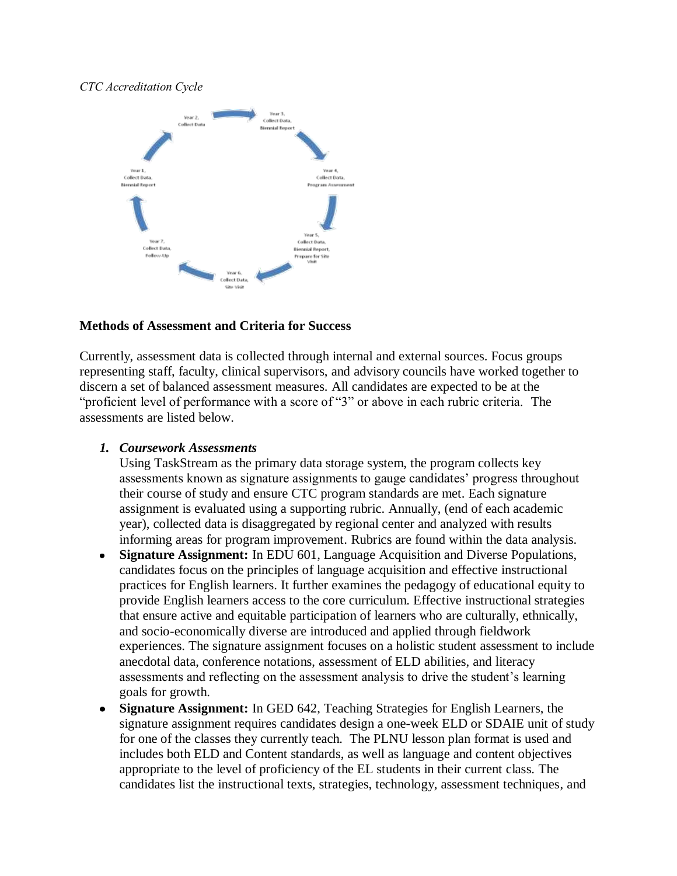## *CTC Accreditation Cycle*



## **Methods of Assessment and Criteria for Success**

Currently, assessment data is collected through internal and external sources. Focus groups representing staff, faculty, clinical supervisors, and advisory councils have worked together to discern a set of balanced assessment measures. All candidates are expected to be at the "proficient level of performance with a score of "3" or above in each rubric criteria. The assessments are listed below.

## *1. Coursework Assessments*

Using TaskStream as the primary data storage system, the program collects key assessments known as signature assignments to gauge candidates' progress throughout their course of study and ensure CTC program standards are met. Each signature assignment is evaluated using a supporting rubric. Annually, (end of each academic year), collected data is disaggregated by regional center and analyzed with results informing areas for program improvement. Rubrics are found within the data analysis.

- **Signature Assignment:** In EDU 601, Language Acquisition and Diverse Populations,  $\bullet$ candidates focus on the principles of language acquisition and effective instructional practices for English learners. It further examines the pedagogy of educational equity to provide English learners access to the core curriculum. Effective instructional strategies that ensure active and equitable participation of learners who are culturally, ethnically, and socio-economically diverse are introduced and applied through fieldwork experiences. The signature assignment focuses on a holistic student assessment to include anecdotal data, conference notations, assessment of ELD abilities, and literacy assessments and reflecting on the assessment analysis to drive the student's learning goals for growth.
- **Signature Assignment:** In GED 642, Teaching Strategies for English Learners, the  $\bullet$ signature assignment requires candidates design a one-week ELD or SDAIE unit of study for one of the classes they currently teach. The PLNU lesson plan format is used and includes both ELD and Content standards, as well as language and content objectives appropriate to the level of proficiency of the EL students in their current class. The candidates list the instructional texts, strategies, technology, assessment techniques, and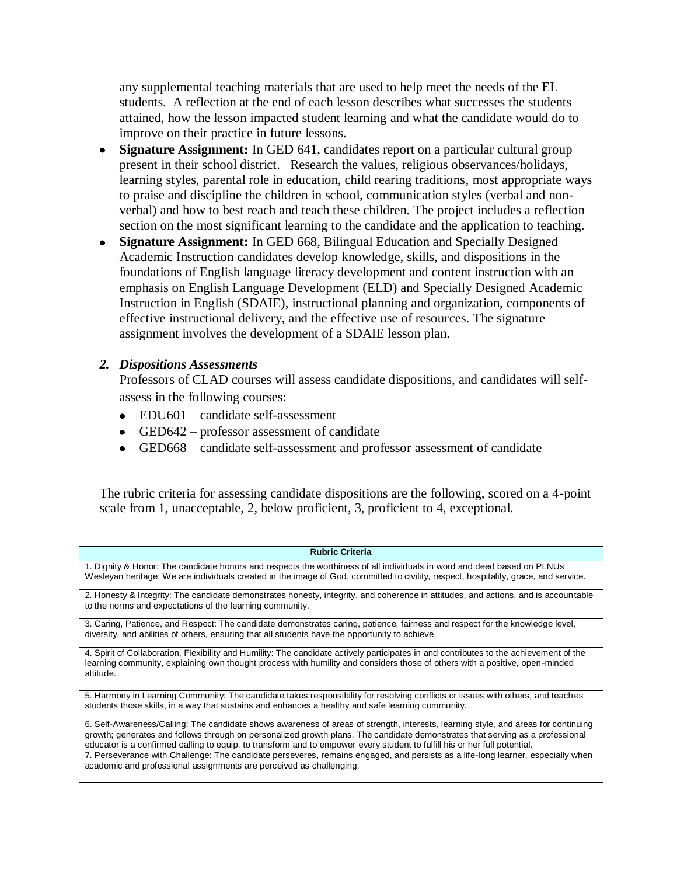any supplemental teaching materials that are used to help meet the needs of the EL students. A reflection at the end of each lesson describes what successes the students attained, how the lesson impacted student learning and what the candidate would do to improve on their practice in future lessons.

- **Signature Assignment:** In GED 641, candidates report on a particular cultural group present in their school district. Research the values, religious observances/holidays, learning styles, parental role in education, child rearing traditions, most appropriate ways to praise and discipline the children in school, communication styles (verbal and nonverbal) and how to best reach and teach these children. The project includes a reflection section on the most significant learning to the candidate and the application to teaching.
- **Signature Assignment:** In GED 668, Bilingual Education and Specially Designed Academic Instruction candidates develop knowledge, skills, and dispositions in the foundations of English language literacy development and content instruction with an emphasis on English Language Development (ELD) and Specially Designed Academic Instruction in English (SDAIE), instructional planning and organization, components of effective instructional delivery, and the effective use of resources. The signature assignment involves the development of a SDAIE lesson plan.

## *2. Dispositions Assessments*

Professors of CLAD courses will assess candidate dispositions, and candidates will selfassess in the following courses:

- EDU601 candidate self-assessment
- GED642 professor assessment of candidate
- GED668 candidate self-assessment and professor assessment of candidate

The rubric criteria for assessing candidate dispositions are the following, scored on a 4-point scale from 1, unacceptable, 2, below proficient, 3, proficient to 4, exceptional.

| <b>Rubric Criteria</b>                                                                                                                                                                                                                                     |
|------------------------------------------------------------------------------------------------------------------------------------------------------------------------------------------------------------------------------------------------------------|
| 1. Dignity & Honor: The candidate honors and respects the worthiness of all individuals in word and deed based on PLNUs                                                                                                                                    |
| Wesleyan heritage: We are individuals created in the image of God, committed to civility, respect, hospitality, grace, and service.                                                                                                                        |
| 2. Honesty & Integrity: The candidate demonstrates honesty, integrity, and coherence in attitudes, and actions, and is accountable                                                                                                                         |
| to the norms and expectations of the learning community.                                                                                                                                                                                                   |
| 3. Caring, Patience, and Respect: The candidate demonstrates caring, patience, fairness and respect for the knowledge level,                                                                                                                               |
| diversity, and abilities of others, ensuring that all students have the opportunity to achieve.                                                                                                                                                            |
| 4. Spirit of Collaboration, Flexibility and Humility: The candidate actively participates in and contributes to the achievement of the                                                                                                                     |
| learning community, explaining own thought process with humility and considers those of others with a positive, open-minded<br>attitude.                                                                                                                   |
|                                                                                                                                                                                                                                                            |
| 5. Harmony in Learning Community: The candidate takes responsibility for resolving conflicts or issues with others, and teaches                                                                                                                            |
| students those skills, in a way that sustains and enhances a healthy and safe learning community.                                                                                                                                                          |
| 6. Self-Awareness/Calling: The candidate shows awareness of areas of strength, interests, learning style, and areas for continuing                                                                                                                         |
| growth; generates and follows through on personalized growth plans. The candidate demonstrates that serving as a professional<br>educator is a confirmed calling to equip, to transform and to empower every student to fulfill his or her full potential. |
| 7. Perseverance with Challenge: The candidate perseveres, remains engaged, and persists as a life-long learner, especially when                                                                                                                            |
| academic and professional assignments are perceived as challenging.                                                                                                                                                                                        |
|                                                                                                                                                                                                                                                            |